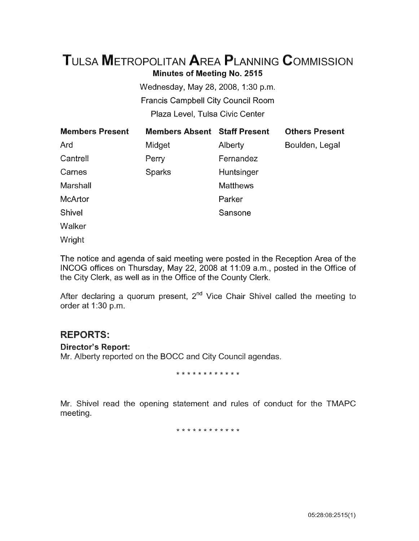# TuLsA METROPOLITAN AREA PLANNING CoMMISSION Minutes of Meeting No. 2515

Wednesday, May 28, 2008, 1:30 p.m. Francis Campbell City Council Room Plaza Level, Tulsa Civic Center

| <b>Members Present</b> | <b>Members Absent Staff Present</b> |                 | <b>Others Present</b> |
|------------------------|-------------------------------------|-----------------|-----------------------|
| Ard                    | Midget                              | Alberty         | Boulden, Legal        |
| Cantrell               | Perry                               | Fernandez       |                       |
| Carnes                 | <b>Sparks</b>                       | Huntsinger      |                       |
| Marshall               |                                     | <b>Matthews</b> |                       |
| <b>McArtor</b>         |                                     | Parker          |                       |
| <b>Shivel</b>          |                                     | Sansone         |                       |
| Walker                 |                                     |                 |                       |

Wright

The notice and agenda of said meeting were posted in the Reception Area of the INCOG offices on Thursday, May 22, 2008 at 11:09 a.m., posted in the Office of the City Clerk, as well as in the Office of the County Clerk.

After declaring a quorum present,  $2^{nd}$  Vice Chair Shivel called the meeting to order at 1:30 p.m.

# REPORTS:

Director's Report:

Mr. Alberty reported on the BOCC and City Council agendas.

\* \* \* \* \* \* \* \* \* \* \* \*

Mr. Shivel read the opening statement and rules of conduct for the TMAPC meeting.

\* \* \* \* \* \* \* \* \* \* \* \*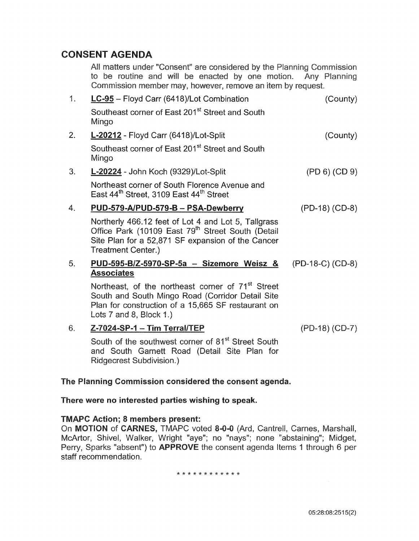# CONSENT AGENDA

All matters under "Consent" are considered by the Planning Commission to be routine and will be enacted by one motion. Any Planning Commission member may, however, remove an item by request.

| 1 <sub>1</sub> | LC-95 - Floyd Carr (6418)/Lot Combination                                                                                                                                                              | (County)         |
|----------------|--------------------------------------------------------------------------------------------------------------------------------------------------------------------------------------------------------|------------------|
|                | Southeast corner of East 201st Street and South<br>Mingo                                                                                                                                               |                  |
| 2.             | L-20212 - Floyd Carr (6418)/Lot-Split                                                                                                                                                                  | (County)         |
|                | Southeast corner of East 201st Street and South<br>Mingo                                                                                                                                               |                  |
| 3.             | L-20224 - John Koch (9329)/Lot-Split                                                                                                                                                                   | (PD 6) (CD 9)    |
|                | Northeast corner of South Florence Avenue and<br>East 44 <sup>th</sup> Street, 3109 East 44 <sup>th</sup> Street                                                                                       |                  |
| 4.             | PUD-579-A/PUD-579-B - PSA-Dewberry                                                                                                                                                                     | $(PD-18) (CD-8)$ |
|                | Northerly 466.12 feet of Lot 4 and Lot 5, Tallgrass<br>Office Park (10109 East 79 <sup>th</sup> Street South (Detail<br>Site Plan for a 52,871 SF expansion of the Cancer<br><b>Treatment Center.)</b> |                  |
| 5.             | PUD-595-B/Z-5970-SP-5a - Sizemore Weisz &                                                                                                                                                              | (PD-18-C) (CD-8) |
|                | <b>Associates</b>                                                                                                                                                                                      |                  |
|                | Northeast, of the northeast corner of 71 <sup>st</sup> Street<br>South and South Mingo Road (Corridor Detail Site<br>Plan for construction of a 15,665 SF restaurant on<br>Lots 7 and 8, Block 1.)     |                  |
| 6.             | Z-7024-SP-1 - Tim Terral/TEP                                                                                                                                                                           | $(PD-18) (CD-7)$ |
|                | South of the southwest corner of 81 <sup>st</sup> Street South<br>and South Garnett Road (Detail Site Plan for<br><b>Ridgecrest Subdivision.)</b>                                                      |                  |

# The Planning Commission considered the consent agenda.

## There were no interested parties wishing to speak.

## TMAPC Action; 8 members present:

On MOTION of CARNES, TMAPC voted 8-0-0 (Ard, Cantrell, Carnes, Marshall, McArtor, Shive!, Walker, Wright "aye"; no "nays"; none "abstaining"; Midget, Perry, Sparks "absent") to **APPROVE** the consent agenda Items 1 through 6 per staff recommendation.

#### \*\*\*\*\*\*\*\*\*\*\*\*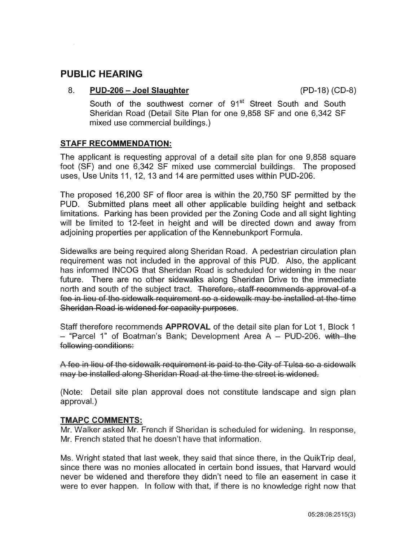# **PUBLIC HEARING**

#### 8. **PUD-206 - Joel Slaughter**

South of the southwest corner of 91<sup>st</sup> Street South and South Sheridan Road (Detail Site Plan for one 9,858 SF and one 6,342 SF mixed use commercial buildings.)

# **STAFF RECOMMENDATION:**

The applicant is requesting approval of a detail site plan for one 9,858 square foot (SF) and one 6,342 SF mixed use commercial buildings. The proposed uses, Use Units 11, 12, 13 and 14 are permitted uses within PUD-206.

The proposed 16,200 SF of floor area is within the 20,750 SF permitted by the PUD. Submitted plans meet all other applicable building height and setback limitations. Parking has been provided per the Zoning Code and all sight lighting will be limited to 12-feet in height and will be directed down and away from adjoining properties per application of the Kennebunkport Formula.

Sidewalks are being required along Sheridan Road. A pedestrian circulation plan requirement was not included in the approval of this PUD. Also, the applicant has informed INCOG that Sheridan Road is scheduled for widening in the near future. There are no other sidewalks along Sheridan Drive to the immediate north and south of the subject tract. Therefore, staff recommends approval of a fee in lieu of the sidewalk requirement so a sidewalk may be installed at the time Sheridan Road is widened for capacity purposes.

Staff therefore recommends APPROVAL of the detail site plan for Lot 1, Block 1 - "Parcel 1" of Boatman's Bank: Development Area A - PUD-206. with the following conditions:

A fee in lieu of the sidewalk requirement is paid to the City of Tulsa so a sidewalk may be installed along Sheridan Road at the time the street is widened.

(Note: Detail site plan approval does not constitute landscape and sign plan approval.)

## **TMAPC COMMENTS:**

Mr. Walker asked Mr. French if Sheridan is scheduled for widening. In response, Mr. French stated that he doesn't have that information.

Ms. Wright stated that last week, they said that since there, in the QuikTrip deal, since there was no monies allocated in certain bond issues, that Harvard would never be widened and therefore they didn't need to file an easement in case it were to ever happen. In follow with that, if there is no knowledge right now that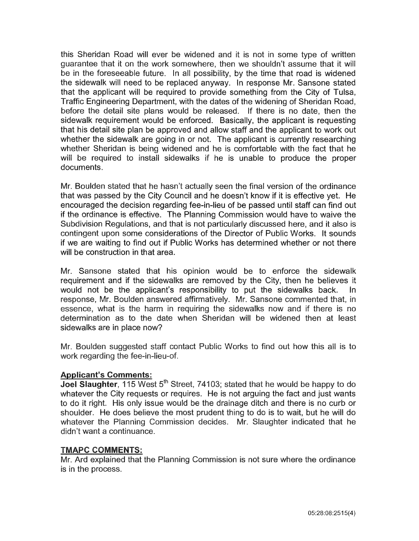this Sheridan Road will ever be widened and it is not in some type of written guarantee that it on the work somewhere, then we shouldn't assume that it wiil be in the foreseeable future. In all possibility, by the time that road is widened the sidewalk will need to be replaced anyway. In response Mr. Sansone stated that the applicant will be required to provide something from the City of Tulsa, Traffic Engineering Department, with the dates of the widening of Sheridan Road, before the detail site plans would be released. If there is no date, then the sidewalk requirement would be enforced. Basically, the applicant is requesting that his detail site plan be approved and allow staff and the applicant to work out whether the sidewalk are going in or not. The applicant is currently researching whether Sheridan is being widened and he is comfortable with the fact that he will be required to install sidewalks if he is unable to produce the proper documents.

Mr. Boulden stated that he hasn't actually seen the final version of the ordinance that was passed by the City Council and he doesn't know if it is effective yet. He encouraged the decision regarding fee-in-lieu of be passed until staff can find out if the ordinance is effective. The Planning Commission would have to waive the Subdivision Regulations, and that is not particularly discussed here, and it also is contingent upon some considerations of the Director of Public Works. It sounds if we are waiting to find out if Public Works has determined whether or not there will be construction in that area.

Mr. Sansone stated that his opinion would be to enforce the sidewalk requirement and if the sidewalks are removed by the City, then he believes it would not be the appiicant's responsibility to put the sidewaiks back. in response, Mr. Boulden answered affirmatively. Mr. Sansone commented that, in essence, what is the harm in requiring the sidewalks now and if there is no determination as to the date when Sheridan will be widened then at least sidewalks are in place now?

Mr. Boulden suggested staff contact Public Works to find out how this all is to work regarding the fee-in-lieu-of.

# Applicant's Comments:

**Joel Slaughter**, 115 West  $5<sup>th</sup>$  Street, 74103; stated that he would be happy to do whatever the City requests or requires. He is not arguing the fact and just wants to do it right. His only issue would be the drainage ditch and there is no curb or shoulder. He does believe the most prudent thing to do is to wait, but he wiii do whatever the Planning Commission decides. Mr. Slaughter indicated that he didn't want a continuance.

## TMAPC COMMENTS:

Mr. Ard explained that the Planning Commission is not sure where the ordinance is in the process.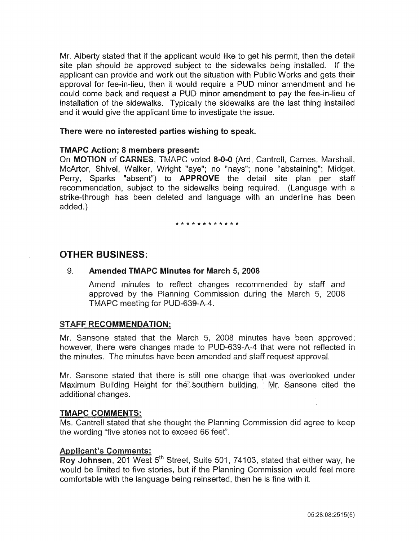Mr. Alberty stated that if the applicant would like to get his permit, then the detail site plan should be approved subject to the sidewalks being installed. If the applicant can provide and work out the situation with Public Works and gets their approval for fee-in-lieu, then it would require a PUD minor amendment and he could come back and request a PUD minor amendment to pay the fee-in-lieu of installation of the sidewalks. Typically the sidewalks are the last thing installed and it would give the applicant time to investigate the issue.

#### There were no interested parties wishing to speak.

#### TMAPC Action; 8 members present:

On MOTION of CARNES, TMAPC voted 8-0-0 (Ard, Cantrell, Carnes, Marshall, McArtor, Shivel, Walker, Wright "aye"; no "nays"; none "abstaining"; Midget, Perry, Sparks "absent") to **APPROVE** the detail site plan per staff recommendation, subject to the sidewalks being required. (Language with a strike-through has been deleted and language with an underline has been added.)

\* \* \* \* \* \* \* \* \* \* \* \*

# OTHER BUSINESS:

### 9. Amended TMAPC Minutes for March 5, 2008

Amend minutes to reflect changes recommended by staff and approved by the Planning Commission during the March 5, 2008 TMAPC meeting for PUD-639-A-4.

#### STAFF RECOMMENDATION:

Mr. Sansone stated that the March 5, 2008 minutes have been approved; however, there were changes made to PUD-639-A-4 that were not reflected in the minutes. The minutes have been amended and staff request approval.

Mr. Sansone stated that there is still one change that was overlooked under Maximum Building Height for the southern building. Mr. Sansone cited the additional changes.

#### TMAPC COMMENTS:

Ms. Cantrell stated that she thought the Planning Commission did agree to keep the wording "five stories not to exceed 66 feet".

#### Applicant's Comments:

Roy Johnsen, 201 West 5<sup>th</sup> Street, Suite 501, 74103, stated that either way, he would be limited to five stories, but if the Planning Commission would feel more comfortable with the language being reinserted, then he is fine with it